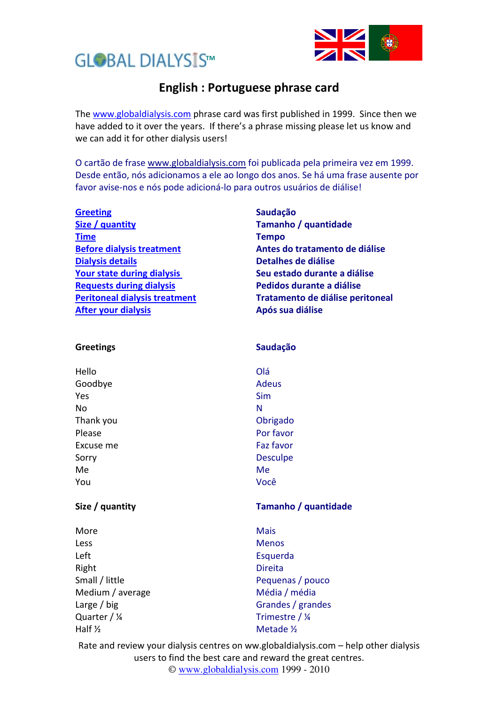



# English : Portuguese phrase card

The www.globaldialysis.com phrase card was first published in 1999. Since then we have added to it over the years. If there's a phrase missing please let us know and we can add it for other dialysis users!

O cartão de frase www.globaldialysis.com foi publicada pela primeira vez em 1999. Desde então, nós adicionamos a ele ao longo dos anos. Se há uma frase ausente por favor avise-nos e nós pode adicioná-lo para outros usuários de diálise!

| <b>Greeting</b>                      | Saudação                         |
|--------------------------------------|----------------------------------|
| Size / quantity                      | Tamanho / quantidade             |
| <b>Time</b>                          | <b>Tempo</b>                     |
| <b>Before dialysis treatment</b>     | Antes do tratamento de diálise   |
| <b>Dialysis details</b>              | Detalhes de diálise              |
| <b>Your state during dialysis</b>    | Seu estado durante a diálise     |
| <b>Requests during dialysis</b>      | Pedidos durante a diálise        |
| <b>Peritoneal dialysis treatment</b> | Tratamento de diálise peritoneal |
| <b>After your dialysis</b>           | Após sua diálise                 |
|                                      |                                  |

| <b>Greetings</b> | Saudação        |
|------------------|-----------------|
| Hello            | Olá             |
| Goodbye          | <b>Adeus</b>    |
| Yes              | Sim             |
| No               | N               |
| Thank you        | Obrigado        |
| Please           | Por favor       |
| Excuse me        | Faz favor       |
| Sorry            | <b>Desculpe</b> |
| Me               | Me              |
| You              | Você            |

More **Mais Mais** Less Menos Left **Exquerda** Right Direita Small / little **Pequenas / pouco** Medium / average Média / média Large / big Grandes / grandes / grandes / grandes / grandes / grandes / grandes / grandes / grandes / grandes / grandes / grandes / grandes / grandes / grandes / grandes / grandes / grandes / grandes / grandes / grandes / Quarter / ¼ Trimestre / ¼ Half <sup>1/3</sup>

### Size / quantity Tamanho / quantidade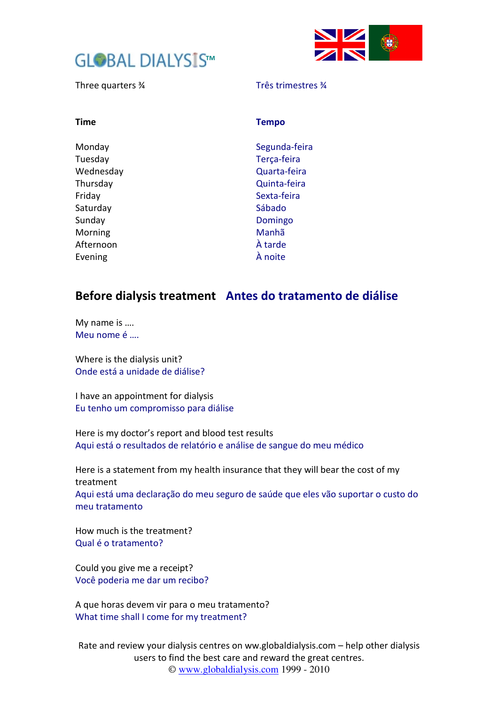



Three quarters ¾ Three Three Three Three Three Three S<sup>34</sup>

| <b>Time</b> | <b>Tempo</b>   |
|-------------|----------------|
| Monday      | Segunda-feira  |
| Tuesday     | Terça-feira    |
| Wednesday   | Quarta-feira   |
| Thursday    | Quinta-feira   |
| Friday      | Sexta-feira    |
| Saturday    | Sábado         |
| Sunday      | <b>Domingo</b> |
| Morning     | Manhã          |
| Afternoon   | À tarde        |
| Evening     | À noite        |

### Before dialysis treatment Antes do tratamento de diálise

My name is …. Meu nome é ….

Where is the dialysis unit? Onde está a unidade de diálise?

I have an appointment for dialysis Eu tenho um compromisso para diálise

Here is my doctor's report and blood test results Aqui está o resultados de relatório e análise de sangue do meu médico

Here is a statement from my health insurance that they will bear the cost of my treatment Aqui está uma declaração do meu seguro de saúde que eles vão suportar o custo do meu tratamento

How much is the treatment? Qual é o tratamento?

Could you give me a receipt? Você poderia me dar um recibo?

A que horas devem vir para o meu tratamento? What time shall I come for my treatment?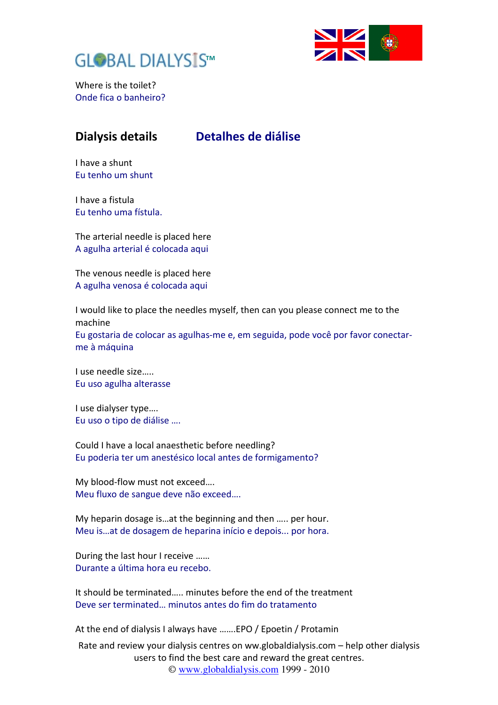



Where is the toilet? Onde fica o banheiro?

### Dialysis details Detalhes de diálise

I have a shunt Eu tenho um shunt

I have a fistula Eu tenho uma fístula.

The arterial needle is placed here A agulha arterial é colocada aqui

The venous needle is placed here A agulha venosa é colocada aqui

I would like to place the needles myself, then can you please connect me to the machine Eu gostaria de colocar as agulhas-me e, em seguida, pode você por favor conectarme à máquina

I use needle size….. Eu uso agulha alterasse

I use dialyser type…. Eu uso o tipo de diálise ….

Could I have a local anaesthetic before needling? Eu poderia ter um anestésico local antes de formigamento?

My blood-flow must not exceed…. Meu fluxo de sangue deve não exceed….

My heparin dosage is…at the beginning and then ….. per hour. Meu is…at de dosagem de heparina início e depois... por hora.

During the last hour I receive …… Durante a última hora eu recebo.

It should be terminated….. minutes before the end of the treatment Deve ser terminated… minutos antes do fim do tratamento

At the end of dialysis I always have …….EPO / Epoetin / Protamin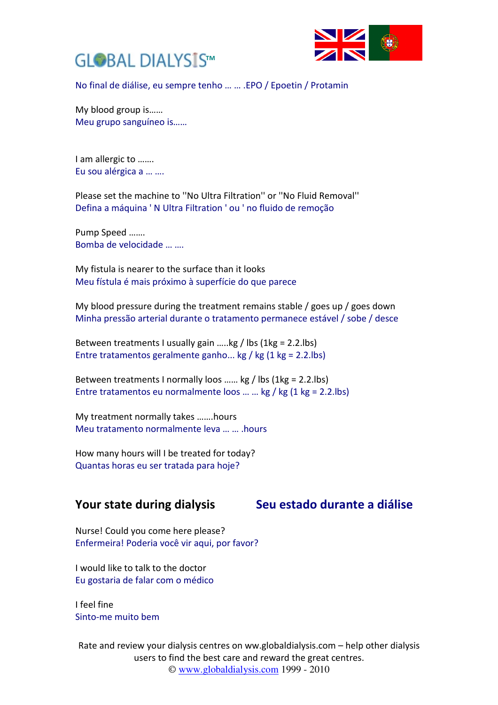



No final de diálise, eu sempre tenho … … .EPO / Epoetin / Protamin

My blood group is…… Meu grupo sanguíneo is……

I am allergic to ……. Eu sou alérgica a … ….

Please set the machine to ''No Ultra Filtration'' or ''No Fluid Removal'' Defina a máquina ' N Ultra Filtration ' ou ' no fluido de remoção

Pump Speed ……. Bomba de velocidade … ….

My fistula is nearer to the surface than it looks Meu fístula é mais próximo à superfície do que parece

My blood pressure during the treatment remains stable / goes up / goes down Minha pressão arterial durante o tratamento permanece estável / sobe / desce

Between treatments I usually gain …..kg / lbs (1kg = 2.2.lbs) Entre tratamentos geralmente ganho... kg / kg (1 kg = 2.2.lbs)

Between treatments I normally loos …… kg / lbs (1kg = 2.2.lbs) Entre tratamentos eu normalmente loos … … kg / kg (1 kg = 2.2.lbs)

My treatment normally takes …….hours Meu tratamento normalmente leva … … .hours

How many hours will I be treated for today? Quantas horas eu ser tratada para hoje?

### Your state during dialysis Seu estado durante a diálise

Nurse! Could you come here please? Enfermeira! Poderia você vir aqui, por favor?

I would like to talk to the doctor Eu gostaria de falar com o médico

I feel fine Sinto-me muito bem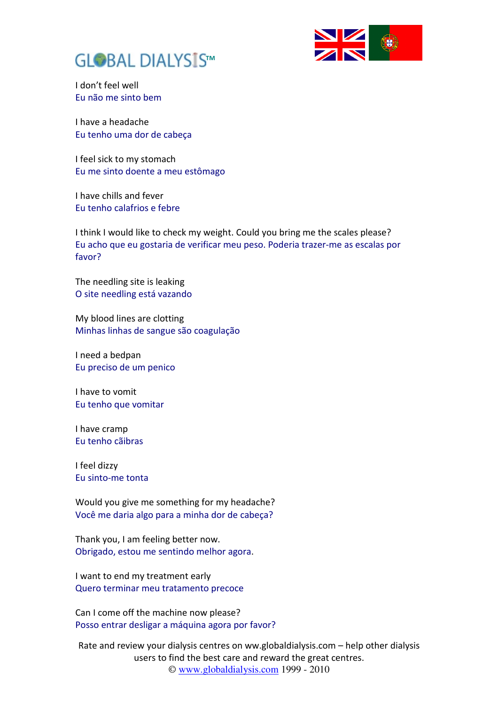



I don't feel well Eu não me sinto bem

I have a headache Eu tenho uma dor de cabeça

I feel sick to my stomach Eu me sinto doente a meu estômago

I have chills and fever Eu tenho calafrios e febre

I think I would like to check my weight. Could you bring me the scales please? Eu acho que eu gostaria de verificar meu peso. Poderia trazer-me as escalas por favor?

The needling site is leaking O site needling está vazando

My blood lines are clotting Minhas linhas de sangue são coagulação

I need a bedpan Eu preciso de um penico

I have to vomit Eu tenho que vomitar

I have cramp Eu tenho cãibras

I feel dizzy Eu sinto-me tonta

Would you give me something for my headache? Você me daria algo para a minha dor de cabeça?

Thank you, I am feeling better now. Obrigado, estou me sentindo melhor agora.

I want to end my treatment early Quero terminar meu tratamento precoce

Can I come off the machine now please? Posso entrar desligar a máquina agora por favor?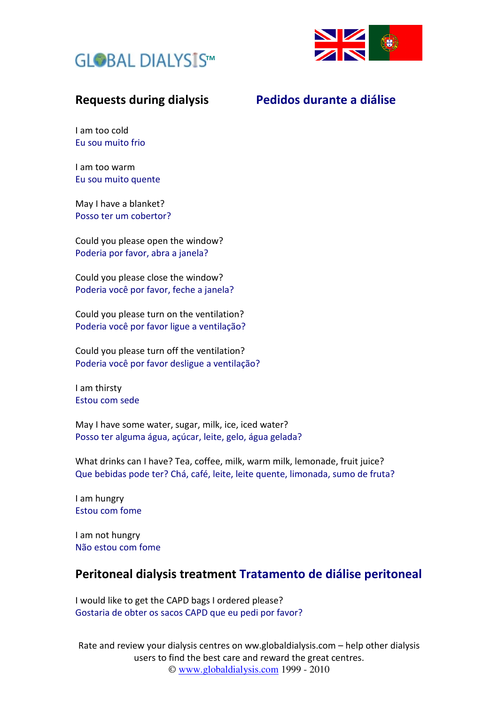



### Requests during dialysis Pedidos durante a diálise

I am too cold Eu sou muito frio

I am too warm Eu sou muito quente

May I have a blanket? Posso ter um cobertor?

Could you please open the window? Poderia por favor, abra a janela?

Could you please close the window? Poderia você por favor, feche a janela?

Could you please turn on the ventilation? Poderia você por favor ligue a ventilação?

Could you please turn off the ventilation? Poderia você por favor desligue a ventilação?

I am thirsty Estou com sede

May I have some water, sugar, milk, ice, iced water? Posso ter alguma água, açúcar, leite, gelo, água gelada?

What drinks can I have? Tea, coffee, milk, warm milk, lemonade, fruit juice? Que bebidas pode ter? Chá, café, leite, leite quente, limonada, sumo de fruta?

I am hungry Estou com fome

I am not hungry Não estou com fome

## Peritoneal dialysis treatment Tratamento de diálise peritoneal

I would like to get the CAPD bags I ordered please? Gostaria de obter os sacos CAPD que eu pedi por favor?